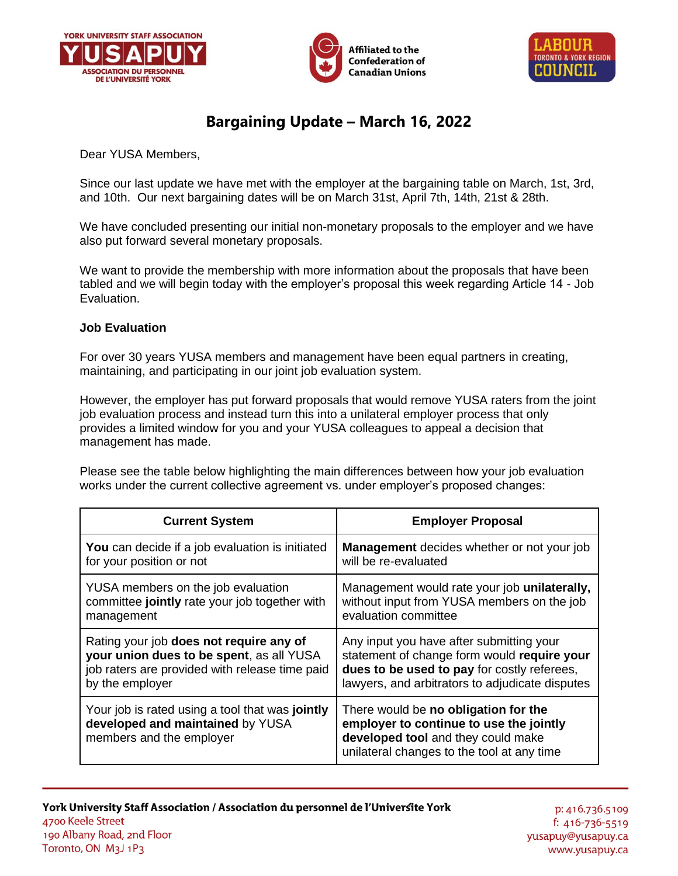





## **Bargaining Update – March 16, 2022**

Dear YUSA Members,

Since our last update we have met with the employer at the bargaining table on March, 1st, 3rd, and 10th. Our next bargaining dates will be on March 31st, April 7th, 14th, 21st & 28th.

We have concluded presenting our initial non-monetary proposals to the employer and we have also put forward several monetary proposals.

We want to provide the membership with more information about the proposals that have been tabled and we will begin today with the employer's proposal this week regarding Article 14 - Job Evaluation.

## **Job Evaluation**

For over 30 years YUSA members and management have been equal partners in creating, maintaining, and participating in our joint job evaluation system.

However, the employer has put forward proposals that would remove YUSA raters from the joint job evaluation process and instead turn this into a unilateral employer process that only provides a limited window for you and your YUSA colleagues to appeal a decision that management has made.

Please see the table below highlighting the main differences between how your job evaluation works under the current collective agreement vs. under employer's proposed changes:

| <b>Current System</b>                                                                                           | <b>Employer Proposal</b>                                                                                                                                            |
|-----------------------------------------------------------------------------------------------------------------|---------------------------------------------------------------------------------------------------------------------------------------------------------------------|
| You can decide if a job evaluation is initiated                                                                 | <b>Management</b> decides whether or not your job                                                                                                                   |
| for your position or not                                                                                        | will be re-evaluated                                                                                                                                                |
| YUSA members on the job evaluation                                                                              | Management would rate your job unilaterally,                                                                                                                        |
| committee jointly rate your job together with                                                                   | without input from YUSA members on the job                                                                                                                          |
| management                                                                                                      | evaluation committee                                                                                                                                                |
| Rating your job does not require any of                                                                         | Any input you have after submitting your                                                                                                                            |
| your union dues to be spent, as all YUSA                                                                        | statement of change form would require your                                                                                                                         |
| job raters are provided with release time paid                                                                  | dues to be used to pay for costly referees,                                                                                                                         |
| by the employer                                                                                                 | lawyers, and arbitrators to adjudicate disputes                                                                                                                     |
| Your job is rated using a tool that was jointly<br>developed and maintained by YUSA<br>members and the employer | There would be no obligation for the<br>employer to continue to use the jointly<br>developed tool and they could make<br>unilateral changes to the tool at any time |